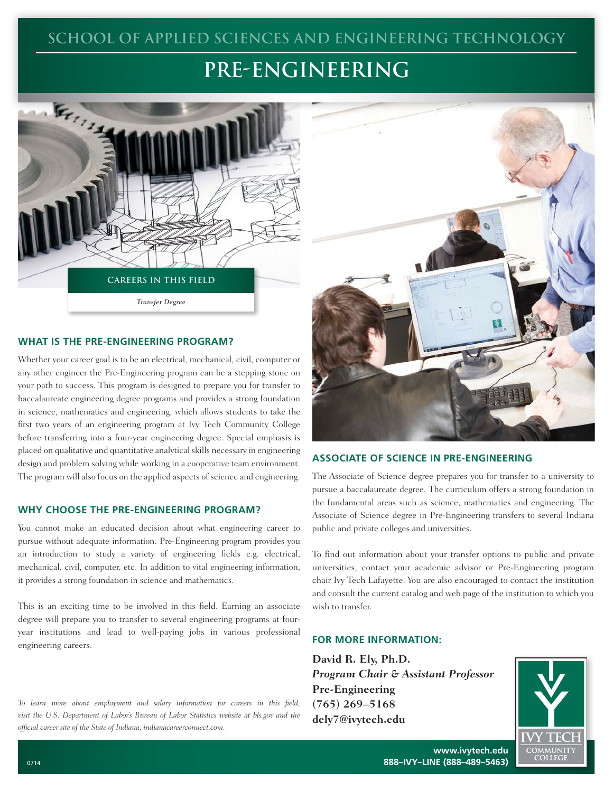# **SCHOOL OF APPLIED SCIENCES AND ENGINEERING TECHNOLOGY**

# **PRE-ENGINEERING**



#### **WHAT IS THE PRE-ENGINEERING PROGRAM?**

Whether your career goal is to be an electrical, mechanical, civil, computer or any other engineer the Pre-Engineering program can be a stepping stone on your path to success. This program is designed to prepare you for transfer to baccalaureate engineering degree programs and provides a strong foundation in science, mathematics and engineering, which allows students to take the first two years of an engineering program at Ivy Tech Community College before transferring into a four-year engineering degree. Special emphasis is placed on qualitative and quantitative analytical skills necessary in engineering design and problem solving while working in a cooperative team environment. The program will also focus on the applied aspects of science and engineering.

#### **WHY CHOOSE THE PRE-ENGINEERING PROGRAM?**

You cannot make an educated decision about what engineering career to pursue without adequate information. Pre-Engineering program provides you an introduction to study a variety of engineering fields e.g. electrical, mechanical, civil, computer, etc. In addition to vital engineering information, it provides a strong foundation in science and mathematics.

This is an exciting time to be involved in this field. Earning an associate degree will prepare you to transfer to several engineering programs at fouryear institutions and lead to well-paying jobs in various professional engineering careers.

*To learn more about employment and salary information for careers in this field, visit the U.S. Department of Labor's Bureau of Labor Statistics website at bls.gov and the official career site of the State of Indiana, indianacareerconnect.com.*



#### **ASSOCIATE OF SCIENCE IN PRE-ENGINEERING**

The Associate of Science degree prepares you for transfer to a university to pursue a baccalaureate degree. The curriculum offers a strong foundation in the fundamental areas such as science, mathematics and engineering. The Associate of Science degree in Pre-Engineering transfers to several Indiana public and private colleges and universities.

To find out information about your transfer options to public and private universities, contact your academic advisor or Pre-Engineering program chair Ivy Tech Lafayette. You are also encouraged to contact the institution and consult the current catalog and web page of the institution to which you wish to transfer.

#### **FOR MORE INFORMATION:**

**David R. Ely, Ph.D.** *Program Chair & Assistant Professor* **Pre-Engineering (765) 269–5168 dely7@ivytech.edu**